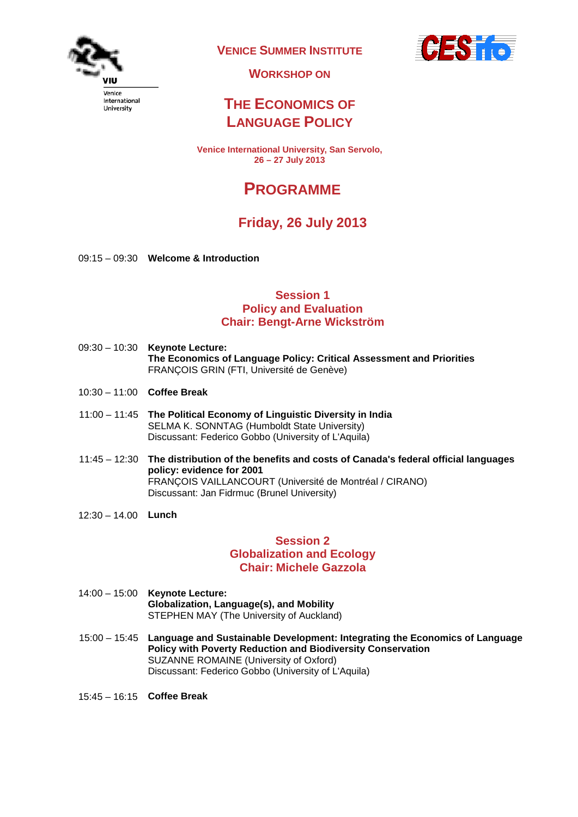

**VENICE SUMMER INSTITUTE**



**WORKSHOP ON**

## **THE ECONOMICS OF LANGUAGE POLICY**

**Venice International University, San Servolo, 26 – 27 July 2013**

# **PROGRAMME**

## **Friday, 26 July 2013**

09:15 – 09:30 **Welcome & Introduction**

#### **Session 1 Policy and Evaluation Chair: Bengt-Arne Wickström**

- 09:30 10:30 **Keynote Lecture: The Economics of Language Policy: Critical Assessment and Priorities** FRANÇOIS GRIN (FTI, Université de Genève)
- 10:30 11:00 **Coffee Break**
- 11:00 11:45 **The Political Economy of Linguistic Diversity in India** SELMA K. SONNTAG (Humboldt State University) Discussant: Federico Gobbo (University of L'Aquila)
- 11:45 12:30 **The distribution of the benefits and costs of Canada's federal official languages policy: evidence for 2001** FRANÇOIS VAILLANCOURT (Université de Montréal / CIRANO) Discussant: Jan Fidrmuc (Brunel University)
- 12:30 14.00 **Lunch**

#### **Session 2 Globalization and Ecology Chair: Michele Gazzola**

- 14:00 15:00 **Keynote Lecture: Globalization, Language(s), and Mobility** STEPHEN MAY (The University of Auckland)
- 15:00 15:45 **Language and Sustainable Development: Integrating the Economics of Language Policy with Poverty Reduction and Biodiversity Conservation** SUZANNE ROMAINE (University of Oxford) Discussant: Federico Gobbo (University of L'Aquila)
- 15:45 16:15 **Coffee Break**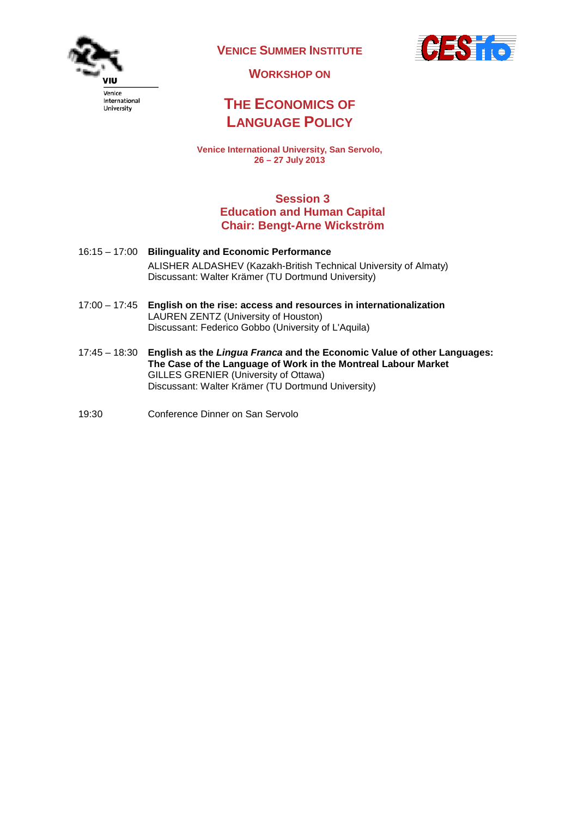

**VENICE SUMMER INSTITUTE**



**WORKSHOP ON**

## **THE ECONOMICS OF LANGUAGE POLICY**

**Venice International University, San Servolo, 26 – 27 July 2013**

### **Session 3 Education and Human Capital Chair: Bengt-Arne Wickström**

- 16:15 17:00 **Bilinguality and Economic Performance** ALISHER ALDASHEV (Kazakh-British Technical University of Almaty) Discussant: Walter Krämer (TU Dortmund University)
- 17:00 17:45 **English on the rise: access and resources in internationalization**  LAUREN ZENTZ (University of Houston) Discussant: Federico Gobbo (University of L'Aquila)
- 17:45 18:30 **English as the** *Lingua Franca* **and the Economic Value of other Languages: The Case of the Language of Work in the Montreal Labour Market** GILLES GRENIER (University of Ottawa) Discussant: Walter Krämer (TU Dortmund University)
- 19:30 Conference Dinner on San Servolo